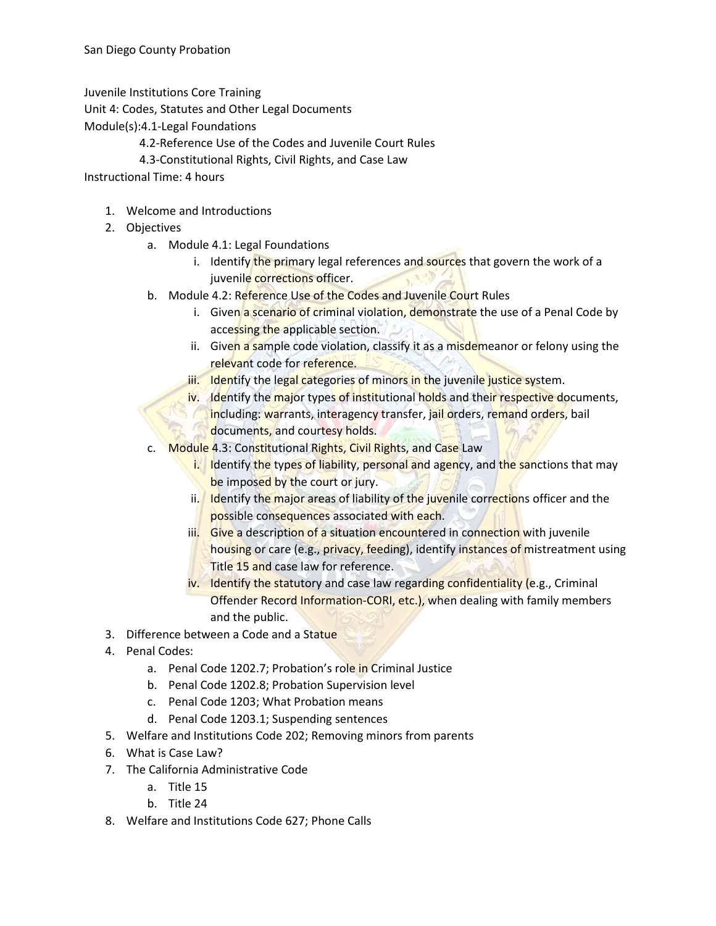Juvenile Institutions Core Training

Unit 4: Codes, Statutes and Other Legal Documents

Module(s):4.1-Legal Foundations

- 4.2-Reference Use of the Codes and Juvenile Court Rules
- 4.3-Constitutional Rights, Civil Rights, and Case Law

Instructional Time: 4 hours

- 1. Welcome and Introductions
- 2. Objectives
	- a. Module 4.1: Legal Foundations
		- i. Identify the primary legal references and sources that govern the work of a juvenile corrections officer.
	- b. Module 4.2: Reference Use of the Codes and Juvenile Court Rules
		- i. Given a scenario of criminal violation, demonstrate the use of a Penal Code by accessing the applicable section.
		- ii. Given a sample code violation, classify it as a misdemeanor or felony using the relevant code for reference.
		- iii. Identify the legal categories of minors in the juvenile justice system.
		- iv. Identify the major types of institutional holds and their respective documents, including: warrants, interagency transfer, jail orders, remand orders, bail documents, and courtesy holds.
	- c. Module 4.3: Constitutional Rights, Civil Rights, and Case Law
		- i. Identify the types of liability, personal and agency, and the sanctions that may be imposed by the court or jury.
		- ii. Identify the major areas of liability of the juvenile corrections officer and the possible consequences associated with each.
		- iii. Give a description of a situation encountered in connection with juvenile housing or care (e.g., privacy, feeding), identify instances of mistreatment using Title 15 and case law for reference.
		- iv. Identify the statutory and case law regarding confidentiality (e.g., Criminal Offender Record Information-CORI, etc.), when dealing with family members and the public.
- 3. Difference between a Code and a Statue
- 4. Penal Codes:
	- a. Penal Code 1202.7; Probation's role in Criminal Justice
	- b. Penal Code 1202.8; Probation Supervision level
	- c. Penal Code 1203; What Probation means
	- d. Penal Code 1203.1; Suspending sentences
- 5. Welfare and Institutions Code 202; Removing minors from parents
- 6. What is Case Law?
- 7. The California Administrative Code
	- a. Title 15
	- b. Title 24
- 8. Welfare and Institutions Code 627; Phone Calls